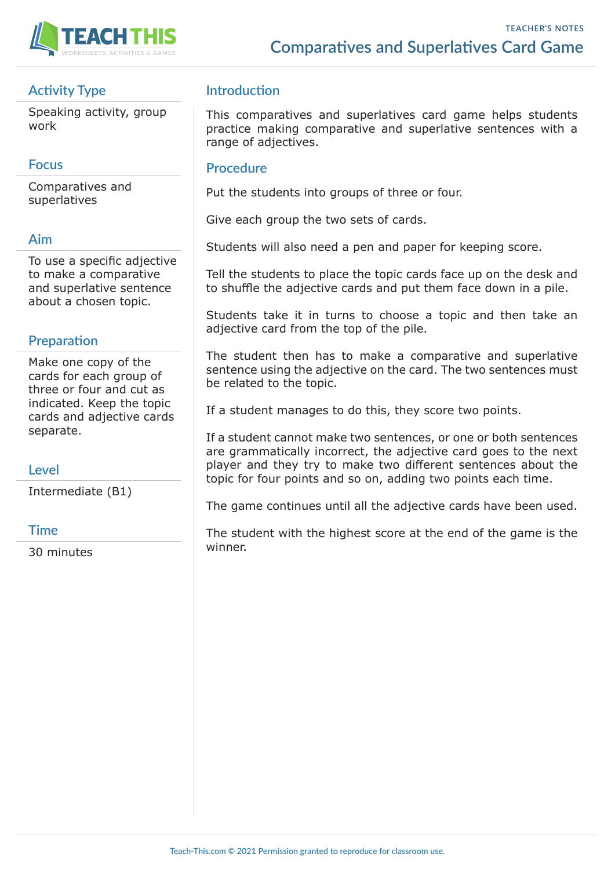

# **Activity Type**

Speaking activity, group work

## **Focus**

Comparatives and superlatives

### **Aim**

To use a specific adjective to make a comparative and superlative sentence about a chosen topic.

# **Preparation**

Make one copy of the cards for each group of three or four and cut as indicated. Keep the topic cards and adjective cards separate.

## **Level**

Intermediate (B1)

#### **Time**

30 minutes

# **Introduction**

This comparatives and superlatives card game helps students practice making comparative and superlative sentences with a range of adjectives.

### **Procedure**

Put the students into groups of three or four.

Give each group the two sets of cards.

Students will also need a pen and paper for keeping score.

Tell the students to place the topic cards face up on the desk and to shuffle the adjective cards and put them face down in a pile.

Students take it in turns to choose a topic and then take an adjective card from the top of the pile.

The student then has to make a comparative and superlative sentence using the adjective on the card. The two sentences must be related to the topic.

If a student manages to do this, they score two points.

If a student cannot make two sentences, or one or both sentences are grammatically incorrect, the adjective card goes to the next player and they try to make two different sentences about the topic for four points and so on, adding two points each time.

The game continues until all the adjective cards have been used.

The student with the highest score at the end of the game is the winner.